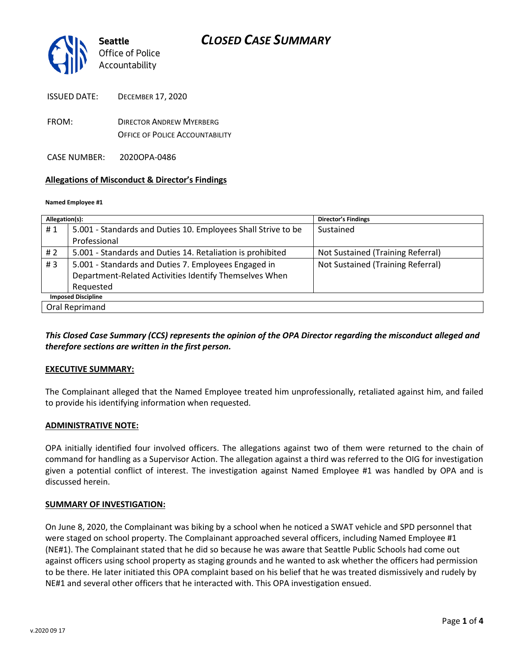

| <b>ISSUED DATE:</b> | <b>DECEMBER 17, 2020</b> |
|---------------------|--------------------------|
|                     |                          |

- FROM: DIRECTOR ANDREW MYERBERG OFFICE OF POLICE ACCOUNTABILITY
- CASE NUMBER: 2020OPA-0486

#### **Allegations of Misconduct & Director's Findings**

#### **Named Employee #1**

| Allegation(s):            |                                                               | <b>Director's Findings</b>        |
|---------------------------|---------------------------------------------------------------|-----------------------------------|
| #1                        | 5.001 - Standards and Duties 10. Employees Shall Strive to be | Sustained                         |
|                           | Professional                                                  |                                   |
| # $2$                     | 5.001 - Standards and Duties 14. Retaliation is prohibited    | Not Sustained (Training Referral) |
| #3                        | 5.001 - Standards and Duties 7. Employees Engaged in          | Not Sustained (Training Referral) |
|                           | Department-Related Activities Identify Themselves When        |                                   |
|                           | Requested                                                     |                                   |
| <b>Imposed Discipline</b> |                                                               |                                   |
| Oral Reprimand            |                                                               |                                   |

## *This Closed Case Summary (CCS) represents the opinion of the OPA Director regarding the misconduct alleged and therefore sections are written in the first person.*

#### **EXECUTIVE SUMMARY:**

The Complainant alleged that the Named Employee treated him unprofessionally, retaliated against him, and failed to provide his identifying information when requested.

#### **ADMINISTRATIVE NOTE:**

OPA initially identified four involved officers. The allegations against two of them were returned to the chain of command for handling as a Supervisor Action. The allegation against a third was referred to the OIG for investigation given a potential conflict of interest. The investigation against Named Employee #1 was handled by OPA and is discussed herein.

#### **SUMMARY OF INVESTIGATION:**

On June 8, 2020, the Complainant was biking by a school when he noticed a SWAT vehicle and SPD personnel that were staged on school property. The Complainant approached several officers, including Named Employee #1 (NE#1). The Complainant stated that he did so because he was aware that Seattle Public Schools had come out against officers using school property as staging grounds and he wanted to ask whether the officers had permission to be there. He later initiated this OPA complaint based on his belief that he was treated dismissively and rudely by NE#1 and several other officers that he interacted with. This OPA investigation ensued.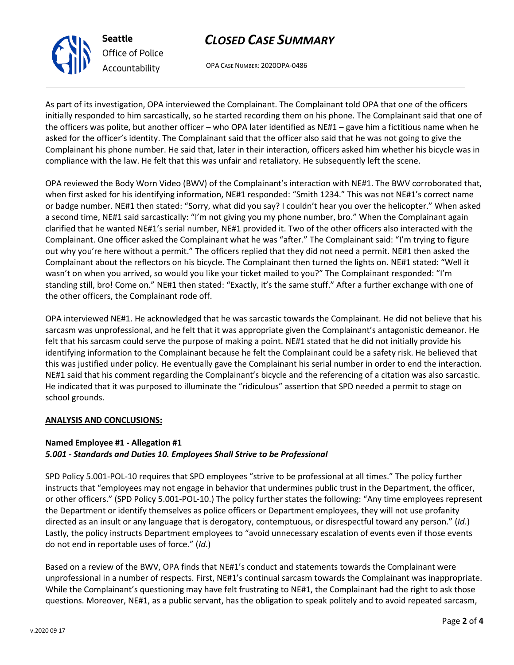## *CLOSED CASE SUMMARY*

OPA CASE NUMBER: 2020OPA-0486

As part of its investigation, OPA interviewed the Complainant. The Complainant told OPA that one of the officers initially responded to him sarcastically, so he started recording them on his phone. The Complainant said that one of the officers was polite, but another officer – who OPA later identified as NE#1 – gave him a fictitious name when he asked for the officer's identity. The Complainant said that the officer also said that he was not going to give the Complainant his phone number. He said that, later in their interaction, officers asked him whether his bicycle was in compliance with the law. He felt that this was unfair and retaliatory. He subsequently left the scene.

OPA reviewed the Body Worn Video (BWV) of the Complainant's interaction with NE#1. The BWV corroborated that, when first asked for his identifying information, NE#1 responded: "Smith 1234." This was not NE#1's correct name or badge number. NE#1 then stated: "Sorry, what did you say? I couldn't hear you over the helicopter." When asked a second time, NE#1 said sarcastically: "I'm not giving you my phone number, bro." When the Complainant again clarified that he wanted NE#1's serial number, NE#1 provided it. Two of the other officers also interacted with the Complainant. One officer asked the Complainant what he was "after." The Complainant said: "I'm trying to figure out why you're here without a permit." The officers replied that they did not need a permit. NE#1 then asked the Complainant about the reflectors on his bicycle. The Complainant then turned the lights on. NE#1 stated: "Well it wasn't on when you arrived, so would you like your ticket mailed to you?" The Complainant responded: "I'm standing still, bro! Come on." NE#1 then stated: "Exactly, it's the same stuff." After a further exchange with one of the other officers, the Complainant rode off.

OPA interviewed NE#1. He acknowledged that he was sarcastic towards the Complainant. He did not believe that his sarcasm was unprofessional, and he felt that it was appropriate given the Complainant's antagonistic demeanor. He felt that his sarcasm could serve the purpose of making a point. NE#1 stated that he did not initially provide his identifying information to the Complainant because he felt the Complainant could be a safety risk. He believed that this was justified under policy. He eventually gave the Complainant his serial number in order to end the interaction. NE#1 said that his comment regarding the Complainant's bicycle and the referencing of a citation was also sarcastic. He indicated that it was purposed to illuminate the "ridiculous" assertion that SPD needed a permit to stage on school grounds.

#### **ANALYSIS AND CONCLUSIONS:**

## **Named Employee #1 - Allegation #1** *5.001 - Standards and Duties 10. Employees Shall Strive to be Professional*

SPD Policy 5.001-POL-10 requires that SPD employees "strive to be professional at all times." The policy further instructs that "employees may not engage in behavior that undermines public trust in the Department, the officer, or other officers." (SPD Policy 5.001-POL-10.) The policy further states the following: "Any time employees represent the Department or identify themselves as police officers or Department employees, they will not use profanity directed as an insult or any language that is derogatory, contemptuous, or disrespectful toward any person." (*Id*.) Lastly, the policy instructs Department employees to "avoid unnecessary escalation of events even if those events do not end in reportable uses of force." (*Id*.)

Based on a review of the BWV, OPA finds that NE#1's conduct and statements towards the Complainant were unprofessional in a number of respects. First, NE#1's continual sarcasm towards the Complainant was inappropriate. While the Complainant's questioning may have felt frustrating to NE#1, the Complainant had the right to ask those questions. Moreover, NE#1, as a public servant, has the obligation to speak politely and to avoid repeated sarcasm,



**Seattle**

*Office of Police Accountability*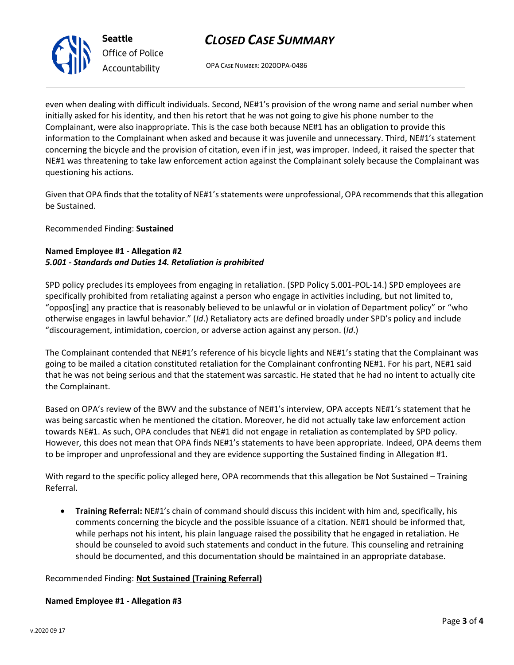# *CLOSED CASE SUMMARY*

OPA CASE NUMBER: 2020OPA-0486

even when dealing with difficult individuals. Second, NE#1's provision of the wrong name and serial number when initially asked for his identity, and then his retort that he was not going to give his phone number to the Complainant, were also inappropriate. This is the case both because NE#1 has an obligation to provide this information to the Complainant when asked and because it was juvenile and unnecessary. Third, NE#1's statement concerning the bicycle and the provision of citation, even if in jest, was improper. Indeed, it raised the specter that NE#1 was threatening to take law enforcement action against the Complainant solely because the Complainant was questioning his actions.

Given that OPA finds that the totality of NE#1's statements were unprofessional, OPA recommends that this allegation be Sustained.

Recommended Finding: **Sustained**

## **Named Employee #1 - Allegation #2** *5.001 - Standards and Duties 14. Retaliation is prohibited*

SPD policy precludes its employees from engaging in retaliation. (SPD Policy 5.001-POL-14.) SPD employees are specifically prohibited from retaliating against a person who engage in activities including, but not limited to, "oppos[ing] any practice that is reasonably believed to be unlawful or in violation of Department policy" or "who otherwise engages in lawful behavior." (*Id*.) Retaliatory acts are defined broadly under SPD's policy and include "discouragement, intimidation, coercion, or adverse action against any person. (*Id*.)

The Complainant contended that NE#1's reference of his bicycle lights and NE#1's stating that the Complainant was going to be mailed a citation constituted retaliation for the Complainant confronting NE#1. For his part, NE#1 said that he was not being serious and that the statement was sarcastic. He stated that he had no intent to actually cite the Complainant.

Based on OPA's review of the BWV and the substance of NE#1's interview, OPA accepts NE#1's statement that he was being sarcastic when he mentioned the citation. Moreover, he did not actually take law enforcement action towards NE#1. As such, OPA concludes that NE#1 did not engage in retaliation as contemplated by SPD policy. However, this does not mean that OPA finds NE#1's statements to have been appropriate. Indeed, OPA deems them to be improper and unprofessional and they are evidence supporting the Sustained finding in Allegation #1.

With regard to the specific policy alleged here, OPA recommends that this allegation be Not Sustained – Training Referral.

• **Training Referral:** NE#1's chain of command should discuss this incident with him and, specifically, his comments concerning the bicycle and the possible issuance of a citation. NE#1 should be informed that, while perhaps not his intent, his plain language raised the possibility that he engaged in retaliation. He should be counseled to avoid such statements and conduct in the future. This counseling and retraining should be documented, and this documentation should be maintained in an appropriate database.

## Recommended Finding: **Not Sustained (Training Referral)**

#### **Named Employee #1 - Allegation #3**



**Seattle** *Office of Police Accountability*